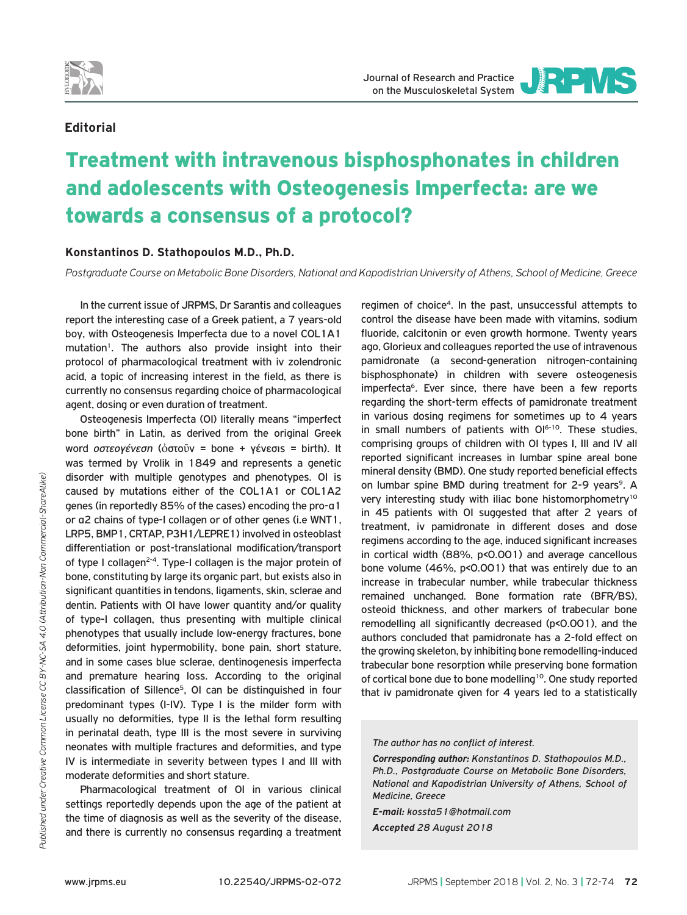

Journal of Research and Practice on the Musculoskeletal System



## **Editorial**

## Treatment with intravenous bisphosphonates in children and adolescents with Osteogenesis Imperfecta: are we towards a consensus of a protocol?

## **Konstantinos D. Stathopoulos M.D., Ph.D.**

*Postgraduate Course on Metabolic Bone Disorders, National and Kapodistrian University of Athens, School of Medicine, Greece*

In the current issue of JRPMS, Dr Sarantis and colleagues report the interesting case of a Greek patient, a 7 years-old boy, with Osteogenesis Imperfecta due to a novel COL1A1 mutation<sup>1</sup>. The authors also provide insight into their protocol of pharmacological treatment with iv zolendronic acid, a topic of increasing interest in the field, as there is currently no consensus regarding choice of pharmacological agent, dosing or even duration of treatment.

Osteogenesis Imperfecta (OI) literally means "imperfect bone birth" in Latin, as derived from the original Greek word *οστεογένεση* (ὀστοῦν = bone + γένεσις = birth). It was termed by Vrolik in 1849 and represents a genetic disorder with multiple genotypes and phenotypes. OI is caused by mutations either of the COL1A1 or COL1A2 genes (in reportedly 85% of the cases) encoding the pro-α1 or α2 chains of type-I collagen or of other genes (i.e WNT1, LRP5, BMP1, CRTAP, P3H1/LEPRE1) involved in osteoblast differentiation or post-translational modification/transport of type I collagen<sup>2-4</sup>. Type-I collagen is the major protein of bone, constituting by large its organic part, but exists also in significant quantities in tendons, ligaments, skin, sclerae and dentin. Patients with OI have lower quantity and/or quality of type-I collagen, thus presenting with multiple clinical phenotypes that usually include low-energy fractures, bone deformities, joint hypermobility, bone pain, short stature, and in some cases blue sclerae, dentinogenesis imperfecta and premature hearing loss. According to the original classification of Sillence5, OI can be distinguished in four predominant types (I-IV). Type I is the milder form with usually no deformities, type II is the lethal form resulting in perinatal death, type III is the most severe in surviving neonates with multiple fractures and deformities, and type IV is intermediate in severity between types I and III with moderate deformities and short stature.

Pharmacological treatment of OI in various clinical settings reportedly depends upon the age of the patient at the time of diagnosis as well as the severity of the disease, and there is currently no consensus regarding a treatment

regimen of choice4. In the past, unsuccessful attempts to control the disease have been made with vitamins, sodium fluoride, calcitonin or even growth hormone. Twenty years ago, Glorieux and colleagues reported the use of intravenous pamidronate (a second-generation nitrogen-containing bisphosphonate) in children with severe osteogenesis imperfecta<sup>6</sup>. Ever since, there have been a few reports regarding the short-term effects of pamidronate treatment in various dosing regimens for sometimes up to 4 years in small numbers of patients with  $O1^{6-10}$ . These studies, comprising groups of children with OI types I, III and IV all reported significant increases in lumbar spine areal bone mineral density (BMD). One study reported beneficial effects on lumbar spine BMD during treatment for 2-9 years<sup>9</sup>. A very interesting study with iliac bone histomorphometry<sup>10</sup> in 45 patients with OI suggested that after 2 years of treatment, iv pamidronate in different doses and dose regimens according to the age, induced significant increases in cortical width (88%, p<0.001) and average cancellous bone volume (46%, p<0.001) that was entirely due to an increase in trabecular number, while trabecular thickness remained unchanged. Bone formation rate (BFR/BS), osteoid thickness, and other markers of trabecular bone remodelling all significantly decreased (p<0.001), and the authors concluded that pamidronate has a 2-fold effect on the growing skeleton, by inhibiting bone remodelling-induced trabecular bone resorption while preserving bone formation of cortical bone due to bone modelling<sup>10</sup>. One study reported that iv pamidronate given for 4 years led to a statistically

*The author has no conflict of interest.*

*Corresponding author: Konstantinos D. Stathopoulos M.D., Ph.D., Postgraduate Course on Metabolic Bone Disorders, National and Kapodistrian University of Athens, School of Medicine, Greece*

*E-mail: kossta51@hotmail.com*

*Accepted 28 August 2018*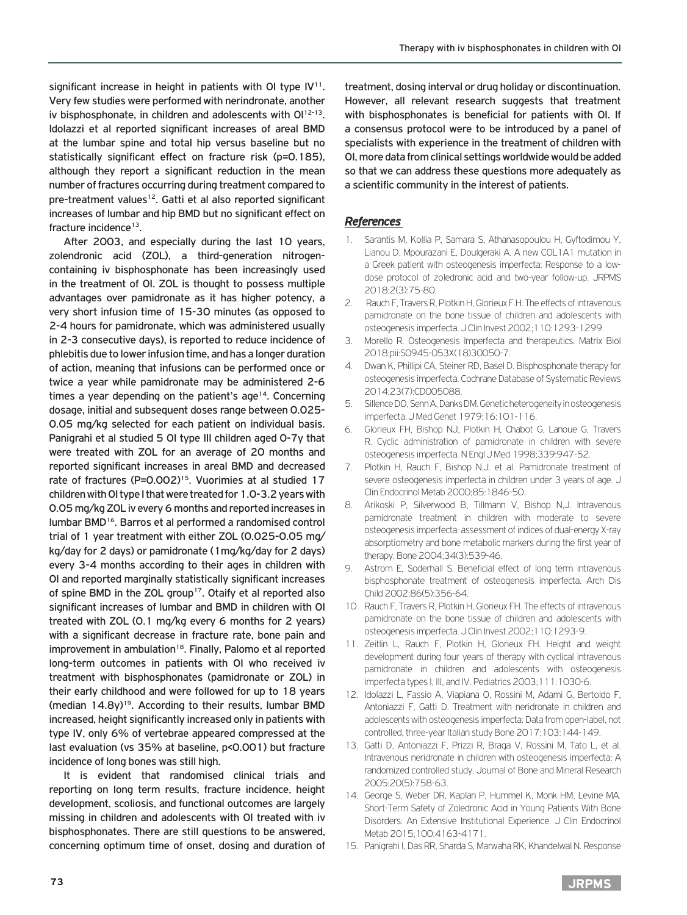significant increase in height in patients with OI type  $IV<sup>11</sup>$ . Very few studies were performed with nerindronate, another iv bisphosphonate, in children and adolescents with Ol<sup>12-13</sup>. Idolazzi et al reported significant increases of areal BMD at the lumbar spine and total hip versus baseline but no statistically significant effect on fracture risk (p=0.185), although they report a significant reduction in the mean number of fractures occurring during treatment compared to pre-treatment values<sup>12</sup>. Gatti et al also reported significant increases of lumbar and hip BMD but no significant effect on fracture incidence<sup>13</sup>.

After 2003, and especially during the last 10 years, zolendronic acid (ZOL), a third-generation nitrogencontaining iv bisphosphonate has been increasingly used in the treatment of OI. ZOL is thought to possess multiple advantages over pamidronate as it has higher potency, a very short infusion time of 15-30 minutes (as opposed to 2-4 hours for pamidronate, which was administered usually in 2-3 consecutive days), is reported to reduce incidence of phlebitis due to lower infusion time, and has a longer duration of action, meaning that infusions can be performed once or twice a year while pamidronate may be administered 2-6 times a year depending on the patient's age<sup>14</sup>. Concerning dosage, initial and subsequent doses range between 0.025- 0.05 mg/kg selected for each patient on individual basis. Panigrahi et al studied 5 OI type III children aged 0-7y that were treated with ZOL for an average of 20 months and reported significant increases in areal BMD and decreased rate of fractures (P=0.002)<sup>15</sup>. Vuorimies at al studied 17 children with OI type I that were treated for 1.0-3.2 years with 0.05 mg/kg ZOL iv every 6 months and reported increases in lumbar BMD16. Barros et al performed a randomised control trial of 1 year treatment with either ZOL (0.025-0.05 mg/ kg/day for 2 days) or pamidronate (1mg/kg/day for 2 days) every 3-4 months according to their ages in children with OI and reported marginally statistically significant increases of spine BMD in the ZOL group<sup>17</sup>. Otaify et al reported also significant increases of lumbar and BMD in children with OI treated with ZOL (0.1 mg/kg every 6 months for 2 years) with a significant decrease in fracture rate, bone pain and improvement in ambulation<sup>18</sup>. Finally, Palomo et al reported long-term outcomes in patients with OI who received iv treatment with bisphosphonates (pamidronate or ZOL) in their early childhood and were followed for up to 18 years (median  $14.8y$ <sup>19</sup>. According to their results, lumbar BMD increased, height significantly increased only in patients with type IV, only 6% of vertebrae appeared compressed at the last evaluation (vs 35% at baseline, p<0.001) but fracture incidence of long bones was still high.

It is evident that randomised clinical trials and reporting on long term results, fracture incidence, height development, scoliosis, and functional outcomes are largely missing in children and adolescents with OI treated with iv bisphosphonates. There are still questions to be answered, concerning optimum time of onset, dosing and duration of treatment, dosing interval or drug holiday or discontinuation. However, all relevant research suggests that treatment with bisphosphonates is beneficial for patients with OI. If a consensus protocol were to be introduced by a panel of specialists with experience in the treatment of children with OI, more data from clinical settings worldwide would be added so that we can address these questions more adequately as a scientific community in the interest of patients.

## *References*

- 1. Sarantis M, Kollia P, Samara S, Athanasopoulou H, Gyftodimou Y, Lianou D, Mpourazani E, Doulgeraki A. A new COL1A1 mutation in a Greek patient with osteogenesis imperfecta: Response to a lowdose protocol of zoledronic acid and two-year follow-up. JRPMS 2018;2(3):75-80.
- 2. Rauch F, Travers R, Plotkin H, Glorieux F, H, The effects of intravenous. pamidronate on the bone tissue of children and adolescents with osteogenesis imperfecta. J Clin Invest 2002;110:1293-1299.
- 3. Morello R. Osteogenesis Imperfecta and therapeutics. Matrix Biol 2018;pii:S0945-053X(18)30050-7.
- 4. Dwan K, Phillipi CA, Steiner RD, Basel D. Bisphosphonate therapy for osteogenesis imperfecta. Cochrane Database of Systematic Reviews 2014;23(7):CD005088.
- 5. Sillence DO, Senn A, Danks DM. Genetic heterogeneity in osteogenesis imperfecta. J Med Genet 1979;16:101-116.
- 6. Glorieux FH, Bishop NJ, Plotkin H, Chabot G, Lanoue G, Travers R. Cyclic administration of pamidronate in children with severe osteogenesis imperfecta. N Engl J Med 1998;339:947-52.
- 7. Plotkin H, Rauch F, Bishop N.J. et al. Pamidronate treatment of severe osteogenesis imperfecta in children under 3 years of age. J Clin Endocrinol Metab 2000;85:1846-50.
- 8. Arikoski P, Silverwood B, Tillmann V, Bishop N,J. Intravenous pamidronate treatment in children with moderate to severe osteogenesis imperfecta: assessment of indices of dual-energy X-ray absorptiometry and bone metabolic markers during the first year of therapy. Bone 2004;34(3):539-46.
- 9. Astrom E, Soderhall S. Beneficial effect of long term intravenous bisphosphonate treatment of osteogenesis imperfecta. Arch Dis Child 2002;86(5):356-64.
- 10. Rauch F, Travers R, Plotkin H, Glorieux FH. The effects of intravenous pamidronate on the bone tissue of children and adolescents with osteogenesis imperfecta. J Clin Invest 2002;110:1293-9.
- 11. Zeitlin L, Rauch F, Plotkin H, Glorieux FH. Height and weight development during four years of therapy with cyclical intravenous pamidronate in children and adolescents with osteogenesis imperfecta types I, III, and IV. Pediatrics 2003;111:1030-6.
- 12. Idolazzi L, Fassio A, Viapiana O, Rossini M, Adami G, Bertoldo F, Antoniazzi F, Gatti D. Treatment with neridronate in children and adolescents with osteogenesis imperfecta: Data from open-label, not controlled, three-year Italian study Bone 2017;103:144-149.
- 13. Gatti D, Antoniazzi F, Prizzi R, Braga V, Rossini M, Tato L, et al. Intravenous neridronate in children with osteogenesis imperfecta: A randomized controlled study. Journal of Bone and Mineral Research 2005;20(5):758-63.
- 14. George S, Weber DR, Kaplan P, Hummel K, Monk HM, Levine MA. Short-Term Safety of Zoledronic Acid in Young Patients With Bone Disorders: An Extensive Institutional Experience. J Clin Endocrinol Metab 2015;100:4163-4171.
- 15. Panigrahi I, Das RR, Sharda S, Marwaha RK, Khandelwal N. Response